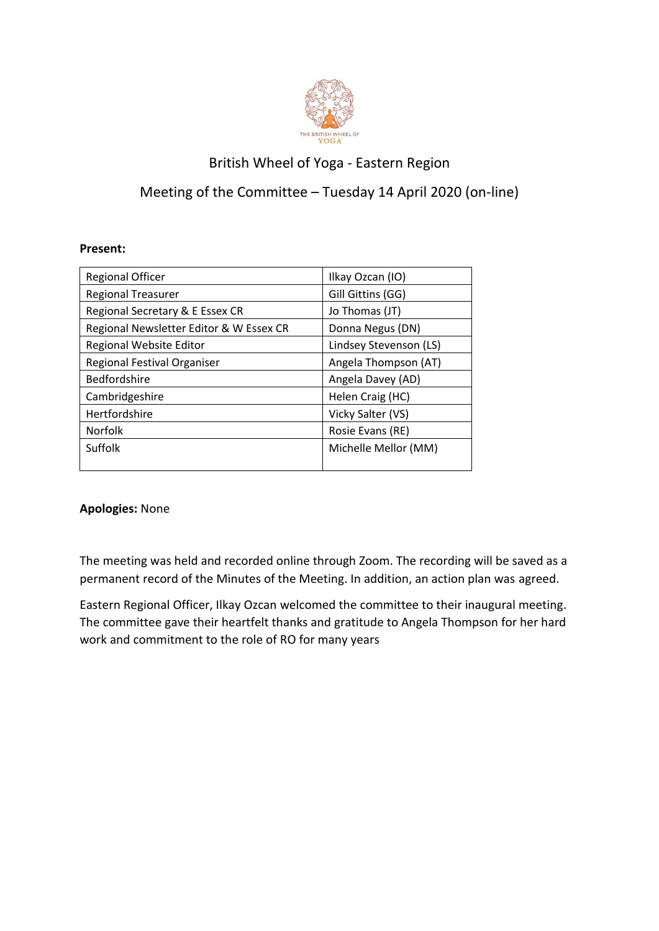

## British Wheel of Yoga - Eastern Region

## Meeting of the Committee – Tuesday 14 April 2020 (on-line)

## **Present:**

| <b>Regional Officer</b>                 | Ilkay Ozcan (IO)       |
|-----------------------------------------|------------------------|
| <b>Regional Treasurer</b>               | Gill Gittins (GG)      |
| Regional Secretary & E Essex CR         | Jo Thomas (JT)         |
| Regional Newsletter Editor & W Essex CR | Donna Negus (DN)       |
| Regional Website Editor                 | Lindsey Stevenson (LS) |
| Regional Festival Organiser             | Angela Thompson (AT)   |
| <b>Bedfordshire</b>                     | Angela Davey (AD)      |
| Cambridgeshire                          | Helen Craig (HC)       |
| Hertfordshire                           | Vicky Salter (VS)      |
| Norfolk                                 | Rosie Evans (RE)       |
| Suffolk                                 | Michelle Mellor (MM)   |
|                                         |                        |

## **Apologies:** None

The meeting was held and recorded online through Zoom. The recording will be saved as a permanent record of the Minutes of the Meeting. In addition, an action plan was agreed.

Eastern Regional Officer, Ilkay Ozcan welcomed the committee to their inaugural meeting. The committee gave their heartfelt thanks and gratitude to Angela Thompson for her hard work and commitment to the role of RO for many years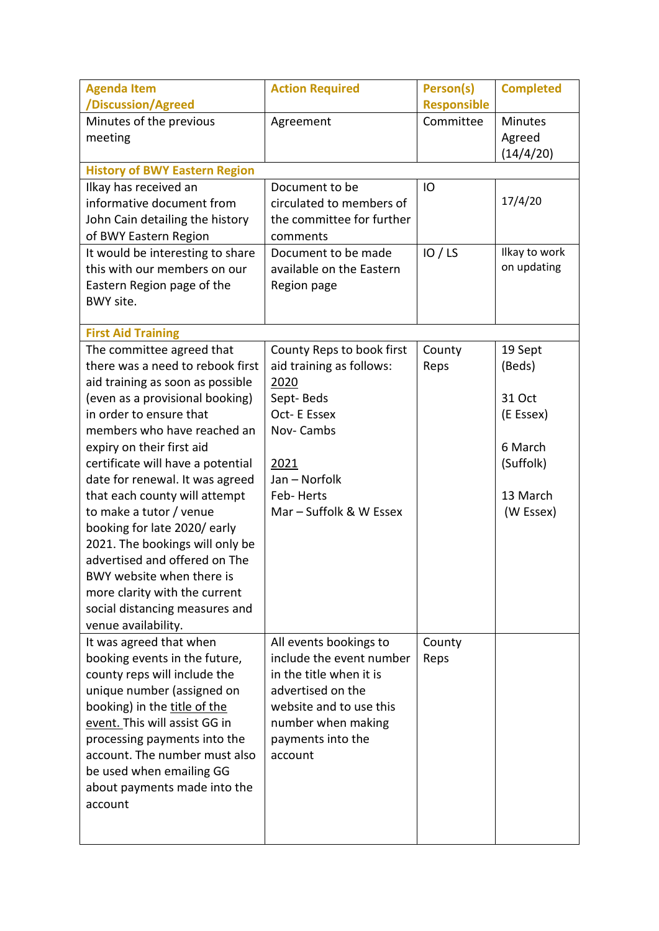| <b>Agenda Item</b><br>/Discussion/Agreed                                                                                                                                                                                                                                                                                                                                                                                                                                                                                                                                                   | <b>Action Required</b>                                                                                                                                                              | Person(s)<br><b>Responsible</b> | <b>Completed</b>                                                                          |
|--------------------------------------------------------------------------------------------------------------------------------------------------------------------------------------------------------------------------------------------------------------------------------------------------------------------------------------------------------------------------------------------------------------------------------------------------------------------------------------------------------------------------------------------------------------------------------------------|-------------------------------------------------------------------------------------------------------------------------------------------------------------------------------------|---------------------------------|-------------------------------------------------------------------------------------------|
| Minutes of the previous<br>meeting                                                                                                                                                                                                                                                                                                                                                                                                                                                                                                                                                         | Agreement                                                                                                                                                                           | Committee                       | <b>Minutes</b><br>Agreed<br>(14/4/20)                                                     |
| <b>History of BWY Eastern Region</b><br>Ilkay has received an                                                                                                                                                                                                                                                                                                                                                                                                                                                                                                                              | Document to be                                                                                                                                                                      | IO                              |                                                                                           |
| informative document from<br>John Cain detailing the history<br>of BWY Eastern Region                                                                                                                                                                                                                                                                                                                                                                                                                                                                                                      | circulated to members of<br>the committee for further<br>comments                                                                                                                   |                                 | 17/4/20                                                                                   |
| It would be interesting to share<br>this with our members on our<br>Eastern Region page of the<br>BWY site.                                                                                                                                                                                                                                                                                                                                                                                                                                                                                | Document to be made<br>available on the Eastern<br>Region page                                                                                                                      | IO / LS                         | Ilkay to work<br>on updating                                                              |
| <b>First Aid Training</b>                                                                                                                                                                                                                                                                                                                                                                                                                                                                                                                                                                  |                                                                                                                                                                                     |                                 |                                                                                           |
| The committee agreed that<br>there was a need to rebook first<br>aid training as soon as possible<br>(even as a provisional booking)<br>in order to ensure that<br>members who have reached an<br>expiry on their first aid<br>certificate will have a potential<br>date for renewal. It was agreed<br>that each county will attempt<br>to make a tutor / venue<br>booking for late 2020/ early<br>2021. The bookings will only be<br>advertised and offered on The<br>BWY website when there is<br>more clarity with the current<br>social distancing measures and<br>venue availability. | County Reps to book first<br>aid training as follows:<br>2020<br>Sept-Beds<br>Oct-E Essex<br>Nov-Cambs<br>2021<br>Jan - Norfolk<br>Feb-Herts<br>Mar - Suffolk & W Essex             | County<br>Reps                  | 19 Sept<br>(Beds)<br>31 Oct<br>(E Essex)<br>6 March<br>(Suffolk)<br>13 March<br>(W Essex) |
| It was agreed that when<br>booking events in the future,<br>county reps will include the<br>unique number (assigned on<br>booking) in the title of the<br>event. This will assist GG in<br>processing payments into the<br>account. The number must also<br>be used when emailing GG<br>about payments made into the<br>account                                                                                                                                                                                                                                                            | All events bookings to<br>include the event number<br>in the title when it is<br>advertised on the<br>website and to use this<br>number when making<br>payments into the<br>account | County<br>Reps                  |                                                                                           |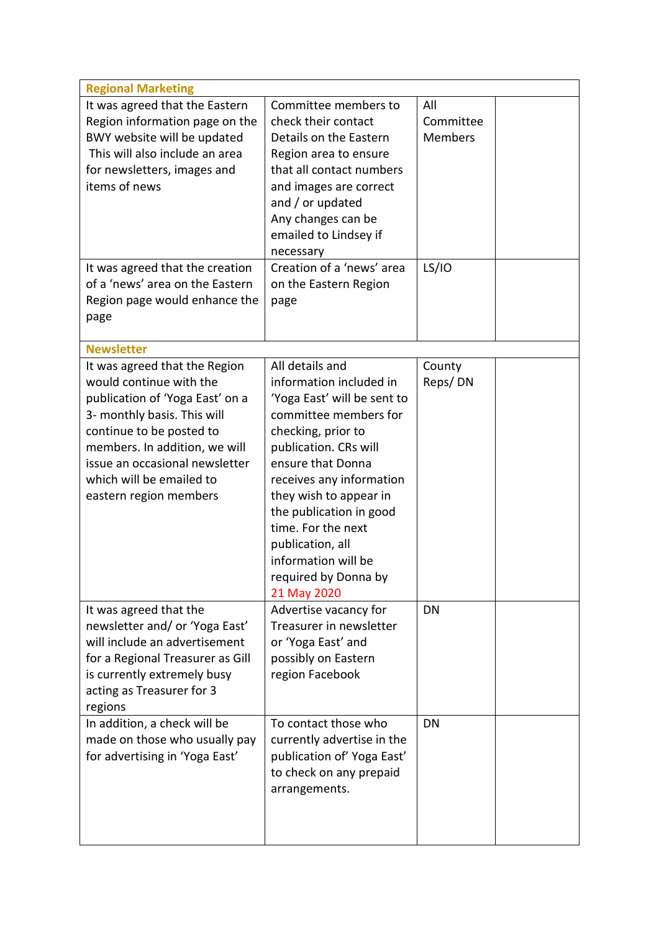| <b>Regional Marketing</b>        |                                               |                |
|----------------------------------|-----------------------------------------------|----------------|
| It was agreed that the Eastern   | Committee members to                          | All            |
| Region information page on the   | check their contact                           | Committee      |
| BWY website will be updated      | Details on the Eastern                        | <b>Members</b> |
| This will also include an area   | Region area to ensure                         |                |
| for newsletters, images and      | that all contact numbers                      |                |
| items of news                    | and images are correct                        |                |
|                                  | and / or updated                              |                |
|                                  | Any changes can be                            |                |
|                                  | emailed to Lindsey if                         |                |
|                                  | necessary                                     |                |
| It was agreed that the creation  | Creation of a 'news' area                     | <b>LS/IO</b>   |
| of a 'news' area on the Eastern  | on the Eastern Region                         |                |
| Region page would enhance the    | page                                          |                |
| page                             |                                               |                |
|                                  |                                               |                |
| <b>Newsletter</b>                |                                               |                |
| It was agreed that the Region    | All details and                               | County         |
| would continue with the          | information included in                       | Reps/DN        |
| publication of 'Yoga East' on a  | 'Yoga East' will be sent to                   |                |
| 3- monthly basis. This will      | committee members for                         |                |
| continue to be posted to         | checking, prior to                            |                |
| members. In addition, we will    | publication. CRs will                         |                |
| issue an occasional newsletter   | ensure that Donna                             |                |
| which will be emailed to         | receives any information                      |                |
| eastern region members           | they wish to appear in                        |                |
|                                  | the publication in good<br>time. For the next |                |
|                                  |                                               |                |
|                                  | publication, all<br>information will be       |                |
|                                  |                                               |                |
|                                  | required by Donna by<br>21 May 2020           |                |
| It was agreed that the           | Advertise vacancy for                         | <b>DN</b>      |
| newsletter and/ or 'Yoga East'   | Treasurer in newsletter                       |                |
| will include an advertisement    | or 'Yoga East' and                            |                |
| for a Regional Treasurer as Gill | possibly on Eastern                           |                |
| is currently extremely busy      | region Facebook                               |                |
| acting as Treasurer for 3        |                                               |                |
| regions                          |                                               |                |
| In addition, a check will be     | To contact those who                          | DN             |
| made on those who usually pay    | currently advertise in the                    |                |
| for advertising in 'Yoga East'   | publication of' Yoga East'                    |                |
|                                  | to check on any prepaid                       |                |
|                                  | arrangements.                                 |                |
|                                  |                                               |                |
|                                  |                                               |                |
|                                  |                                               |                |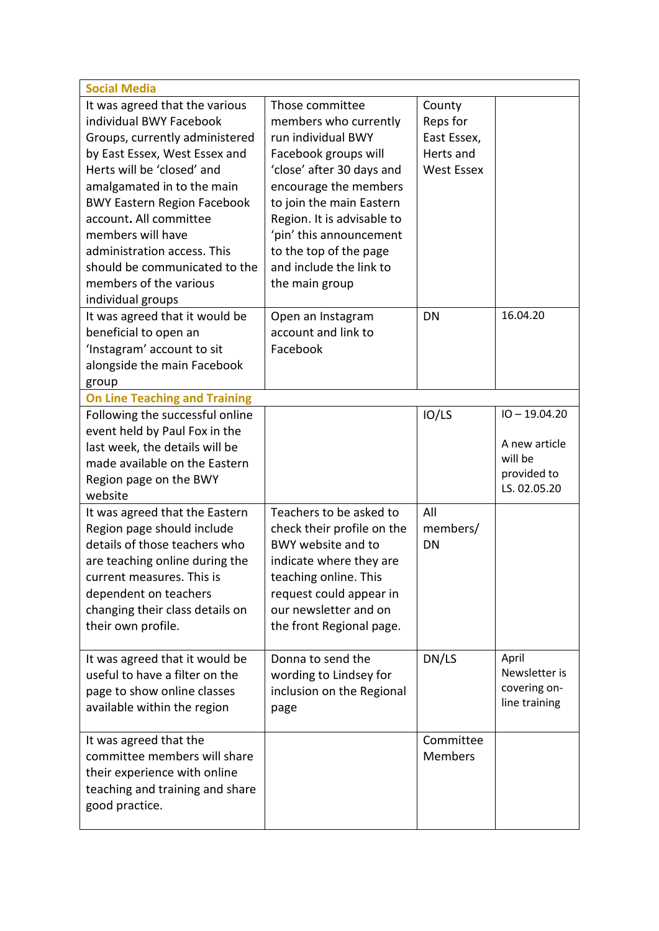| <b>Social Media</b>                                                                                                                                                                                                                                                                                                                                                                          |                                                                                                                                                                                                                                                                                                          |                                                                     |                                                                            |
|----------------------------------------------------------------------------------------------------------------------------------------------------------------------------------------------------------------------------------------------------------------------------------------------------------------------------------------------------------------------------------------------|----------------------------------------------------------------------------------------------------------------------------------------------------------------------------------------------------------------------------------------------------------------------------------------------------------|---------------------------------------------------------------------|----------------------------------------------------------------------------|
| It was agreed that the various<br>individual BWY Facebook<br>Groups, currently administered<br>by East Essex, West Essex and<br>Herts will be 'closed' and<br>amalgamated in to the main<br><b>BWY Eastern Region Facebook</b><br>account. All committee<br>members will have<br>administration access. This<br>should be communicated to the<br>members of the various<br>individual groups | Those committee<br>members who currently<br>run individual BWY<br>Facebook groups will<br>'close' after 30 days and<br>encourage the members<br>to join the main Eastern<br>Region. It is advisable to<br>'pin' this announcement<br>to the top of the page<br>and include the link to<br>the main group | County<br>Reps for<br>East Essex,<br>Herts and<br><b>West Essex</b> |                                                                            |
| It was agreed that it would be<br>beneficial to open an<br>'Instagram' account to sit<br>alongside the main Facebook                                                                                                                                                                                                                                                                         | Open an Instagram<br>account and link to<br>Facebook                                                                                                                                                                                                                                                     | DN                                                                  | 16.04.20                                                                   |
| group<br><b>On Line Teaching and Training</b>                                                                                                                                                                                                                                                                                                                                                |                                                                                                                                                                                                                                                                                                          |                                                                     |                                                                            |
| Following the successful online<br>event held by Paul Fox in the<br>last week, the details will be<br>made available on the Eastern<br>Region page on the BWY<br>website                                                                                                                                                                                                                     |                                                                                                                                                                                                                                                                                                          | IO/LS                                                               | $IO - 19.04.20$<br>A new article<br>will be<br>provided to<br>LS. 02.05.20 |
| It was agreed that the Eastern<br>Region page should include<br>details of those teachers who<br>are teaching online during the<br>current measures. This is<br>dependent on teachers<br>changing their class details on<br>their own profile.                                                                                                                                               | Teachers to be asked to<br>check their profile on the<br>BWY website and to<br>indicate where they are<br>teaching online. This<br>request could appear in<br>our newsletter and on<br>the front Regional page.                                                                                          | All<br>members/<br>DN                                               |                                                                            |
| It was agreed that it would be<br>useful to have a filter on the<br>page to show online classes<br>available within the region                                                                                                                                                                                                                                                               | Donna to send the<br>wording to Lindsey for<br>inclusion on the Regional<br>page                                                                                                                                                                                                                         | DN/LS                                                               | April<br>Newsletter is<br>covering on-<br>line training                    |
| It was agreed that the<br>committee members will share<br>their experience with online<br>teaching and training and share<br>good practice.                                                                                                                                                                                                                                                  |                                                                                                                                                                                                                                                                                                          | Committee<br><b>Members</b>                                         |                                                                            |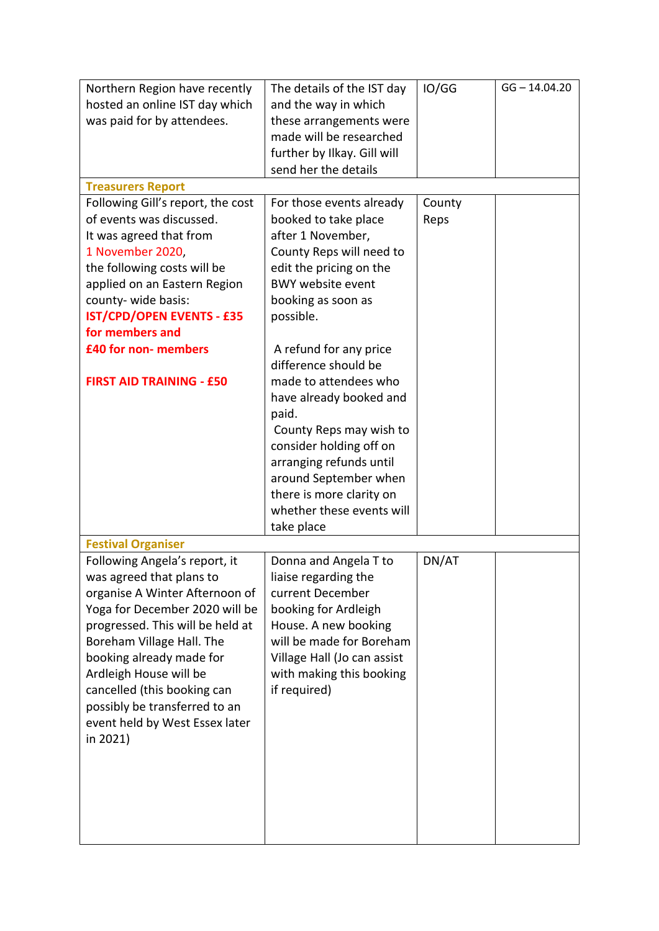| Northern Region have recently<br>hosted an online IST day which<br>was paid for by attendees. | The details of the IST day<br>and the way in which<br>these arrangements were<br>made will be researched<br>further by Ilkay. Gill will<br>send her the details | IO/GG  | $GG - 14.04.20$ |
|-----------------------------------------------------------------------------------------------|-----------------------------------------------------------------------------------------------------------------------------------------------------------------|--------|-----------------|
| <b>Treasurers Report</b>                                                                      |                                                                                                                                                                 |        |                 |
| Following Gill's report, the cost                                                             | For those events already                                                                                                                                        | County |                 |
| of events was discussed.                                                                      | booked to take place                                                                                                                                            | Reps   |                 |
| It was agreed that from                                                                       | after 1 November,                                                                                                                                               |        |                 |
| 1 November 2020,                                                                              | County Reps will need to                                                                                                                                        |        |                 |
| the following costs will be                                                                   | edit the pricing on the                                                                                                                                         |        |                 |
| applied on an Eastern Region                                                                  | <b>BWY website event</b>                                                                                                                                        |        |                 |
| county- wide basis:                                                                           | booking as soon as                                                                                                                                              |        |                 |
| <b>IST/CPD/OPEN EVENTS - £35</b>                                                              | possible.                                                                                                                                                       |        |                 |
| for members and                                                                               |                                                                                                                                                                 |        |                 |
| £40 for non- members                                                                          | A refund for any price<br>difference should be                                                                                                                  |        |                 |
| <b>FIRST AID TRAINING - £50</b>                                                               | made to attendees who                                                                                                                                           |        |                 |
|                                                                                               | have already booked and                                                                                                                                         |        |                 |
|                                                                                               | paid.                                                                                                                                                           |        |                 |
|                                                                                               | County Reps may wish to                                                                                                                                         |        |                 |
|                                                                                               | consider holding off on                                                                                                                                         |        |                 |
|                                                                                               | arranging refunds until                                                                                                                                         |        |                 |
|                                                                                               | around September when                                                                                                                                           |        |                 |
|                                                                                               | there is more clarity on                                                                                                                                        |        |                 |
|                                                                                               | whether these events will                                                                                                                                       |        |                 |
|                                                                                               | take place                                                                                                                                                      |        |                 |
| <b>Festival Organiser</b>                                                                     |                                                                                                                                                                 |        |                 |
| Following Angela's report, it                                                                 | Donna and Angela T to                                                                                                                                           | DN/AT  |                 |
| was agreed that plans to                                                                      | liaise regarding the                                                                                                                                            |        |                 |
| organise A Winter Afternoon of                                                                | current December                                                                                                                                                |        |                 |
| Yoga for December 2020 will be                                                                | booking for Ardleigh                                                                                                                                            |        |                 |
| progressed. This will be held at                                                              | House. A new booking                                                                                                                                            |        |                 |
| Boreham Village Hall. The                                                                     | will be made for Boreham                                                                                                                                        |        |                 |
| booking already made for                                                                      | Village Hall (Jo can assist                                                                                                                                     |        |                 |
| Ardleigh House will be                                                                        | with making this booking<br>if required)                                                                                                                        |        |                 |
| cancelled (this booking can<br>possibly be transferred to an                                  |                                                                                                                                                                 |        |                 |
| event held by West Essex later                                                                |                                                                                                                                                                 |        |                 |
| in 2021)                                                                                      |                                                                                                                                                                 |        |                 |
|                                                                                               |                                                                                                                                                                 |        |                 |
|                                                                                               |                                                                                                                                                                 |        |                 |
|                                                                                               |                                                                                                                                                                 |        |                 |
|                                                                                               |                                                                                                                                                                 |        |                 |
|                                                                                               |                                                                                                                                                                 |        |                 |
|                                                                                               |                                                                                                                                                                 |        |                 |